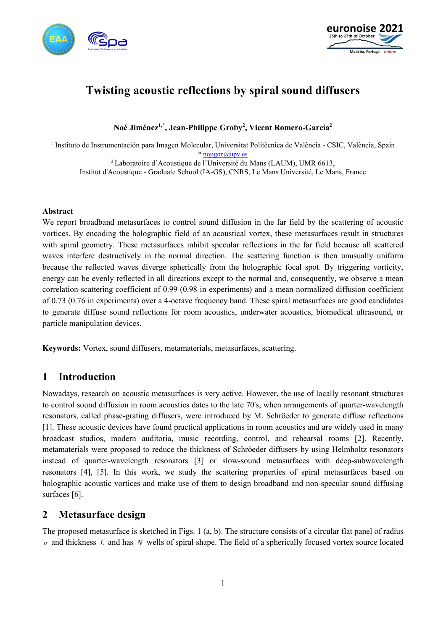



# **Twisting acoustic reflections by spiral sound diffusers**

**Noé Jiménez1,\*, Jean-Philippe Groby2 , Vicent Romero-García2**

<sup>1</sup> Instituto de Instrumentación para Imagen Molecular, Universitat Politècnica de València - CSIC, València, Spain [\\* nojigon@upv.es](mailto:nojigon@upv.es)

<sup>2</sup> Laboratoire d'Acoustique de l'Université du Mans (LAUM), UMR 6613, Institut d'Acoustique - Graduate School (IA-GS), CNRS, Le Mans Université, Le Mans, France

#### **Abstract**

We report broadband metasurfaces to control sound diffusion in the far field by the scattering of acoustic vortices. By encoding the holographic field of an acoustical vortex, these metasurfaces result in structures with spiral geometry. These metasurfaces inhibit specular reflections in the far field because all scattered waves interfere destructively in the normal direction. The scattering function is then unusually uniform because the reflected waves diverge spherically from the holographic focal spot. By triggering vorticity, energy can be evenly reflected in all directions except to the normal and, consequently, we observe a mean correlation-scattering coefficient of 0.99 (0.98 in experiments) and a mean normalized diffusion coefficient of 0.73 (0.76 in experiments) over a 4-octave frequency band. These spiral metasurfaces are good candidates to generate diffuse sound reflections for room acoustics, underwater acoustics, biomedical ultrasound, or particle manipulation devices.

**Keywords:** Vortex, sound diffusers, metamaterials, metasurfaces, scattering.

# **1 Introduction**

Nowadays, research on acoustic metasurfaces is very active. However, the use of locally resonant structures to control sound diffusion in room acoustics dates to the late 70's, when arrangements of quarter-wavelength resonators, called phase-grating diffusers, were introduced by M. Schröeder to generate diffuse reflections [1]. These acoustic devices have found practical applications in room acoustics and are widely used in many broadcast studios, modern auditoria, music recording, control, and rehearsal rooms [2]. Recently, metamaterials were proposed to reduce the thickness of Schröeder diffusers by using Helmholtz resonators instead of quarter-wavelength resonators [3] or slow-sound metasurfaces with deep-subwavelength resonators [4], [5]. In this work, we study the scattering properties of spiral metasurfaces based on holographic acoustic vortices and make use of them to design broadband and non-specular sound diffusing surfaces [6].

# **2 Metasurface design**

The proposed metasurface is sketched in Figs. 1 (a, b). The structure consists of a circular flat panel of radius *a* and thickness *L* and has *N* wells of spiral shape. The field of a spherically focused vortex source located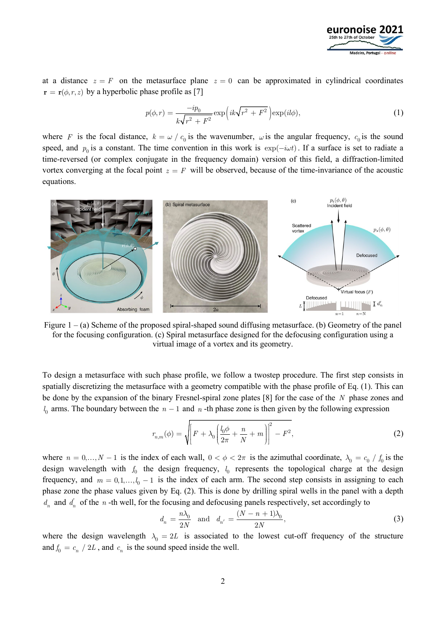

at a distance  $z = F$  on the metasurface plane  $z = 0$  can be approximated in cylindrical coordinates  $\mathbf{r} = \mathbf{r}(\phi, r, z)$  by a hyperbolic phase profile as [7]

$$
p(\phi, r) = \frac{-ip_0}{k\sqrt{r^2 + F^2}} \exp\left(ik\sqrt{r^2 + F^2}\right) \exp(il\phi),\tag{1}
$$

where *F* is the focal distance,  $k = \omega / c_0$  is the wavenumber,  $\omega$  is the angular frequency,  $c_0$  is the sound speed, and  $p_0$  is a constant. The time convention in this work is  $\exp(-i\omega t)$ . If a surface is set to radiate a time-reversed (or complex conjugate in the frequency domain) version of this field, a diffraction-limited vortex converging at the focal point  $z = F$  will be observed, because of the time-invariance of the acoustic equations.



Figure 1 – (a) Scheme of the proposed spiral-shaped sound diffusing metasurface. (b) Geometry of the panel for the focusing configuration. (c) Spiral metasurface designed for the defocusing configuration using a virtual image of a vortex and its geometry.

To design a metasurface with such phase profile, we follow a twostep procedure. The first step consists in spatially discretizing the metasurface with a geometry compatible with the phase profile of Eq. (1). This can be done by the expansion of the binary Fresnel-spiral zone plates [8] for the case of the *N* phase zones and  $l_0$  arms. The boundary between the  $n-1$  and  $n$  -th phase zone is then given by the following expression

$$
r_{n,m}(\phi) = \sqrt{\left[F + \lambda_0 \left(\frac{l_0 \phi}{2\pi} + \frac{n}{N} + m\right)\right]^2 - F^2},\tag{2}
$$

where  $n = 0, ..., N - 1$  is the index of each wall,  $0 < \phi < 2\pi$  is the azimuthal coordinate,  $\lambda_0 = c_0 / f_0$  is the design wavelength with  $f_0$  the design frequency,  $l_0$  represents the topological charge at the design frequency, and  $m = 0, 1, \dots, l_0 - 1$  is the index of each arm. The second step consists in assigning to each phase zone the phase values given by Eq. (2). This is done by drilling spiral wells in the panel with a depth  $d_n$  and  $d'_n$  of the *n* -th well, for the focusing and defocusing panels respectively, set accordingly to

$$
d_n = \frac{n\lambda_0}{2N} \quad \text{and} \quad d_{n'} = \frac{(N-n+1)\lambda_0}{2N},\tag{3}
$$

where the design wavelength  $\lambda_0 = 2L$  is associated to the lowest cut-off frequency of the structure and  $f_0 = c_n / 2L$ , and  $c_n$  is the sound speed inside the well.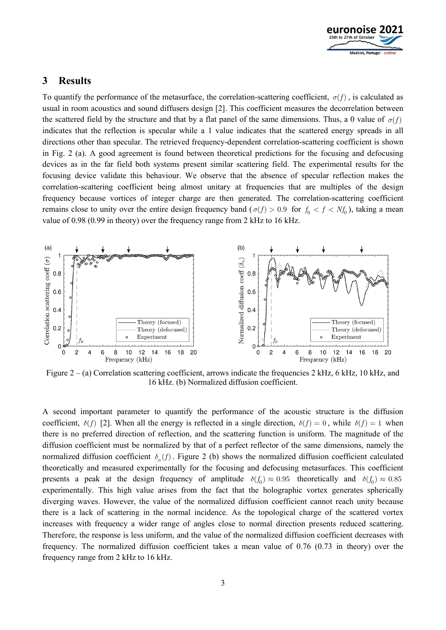

### **3 Results**

To quantify the performance of the metasurface, the correlation-scattering coefficient,  $\sigma(f)$ , is calculated as usual in room acoustics and sound diffusers design [2]. This coefficient measures the decorrelation between the scattered field by the structure and that by a flat panel of the same dimensions. Thus, a 0 value of  $\sigma(f)$ indicates that the reflection is specular while a 1 value indicates that the scattered energy spreads in all directions other than specular. The retrieved frequency-dependent correlation-scattering coefficient is shown in Fig. 2 (a). A good agreement is found between theoretical predictions for the focusing and defocusing devices as in the far field both systems present similar scattering field. The experimental results for the focusing device validate this behaviour. We observe that the absence of specular reflection makes the correlation-scattering coefficient being almost unitary at frequencies that are multiples of the design frequency because vortices of integer charge are then generated. The correlation-scattering coefficient remains close to unity over the entire design frequency band ( $\sigma(f) > 0.9$  for  $f_0 < f < Nf_0$ ), taking a mean value of 0.98 (0.99 in theory) over the frequency range from 2 kHz to 16 kHz.



Figure 2 – (a) Correlation scattering coefficient, arrows indicate the frequencies 2 kHz, 6 kHz, 10 kHz, and 16 kHz. (b) Normalized diffusion coefficient.

A second important parameter to quantify the performance of the acoustic structure is the diffusion coefficient,  $\delta(f)$  [2]. When all the energy is reflected in a single direction,  $\delta(f) = 0$ , while  $\delta(f) = 1$  when there is no preferred direction of reflection, and the scattering function is uniform. The magnitude of the diffusion coefficient must be normalized by that of a perfect reflector of the same dimensions, namely the normalized diffusion coefficient  $\delta_n(f)$ . Figure 2 (b) shows the normalized diffusion coefficient calculated theoretically and measured experimentally for the focusing and defocusing metasurfaces. This coefficient presents a peak at the design frequency of amplitude  $\delta(f_0) \approx 0.95$  theoretically and  $\delta(f_0) \approx 0.85$ experimentally. This high value arises from the fact that the holographic vortex generates spherically diverging waves. However, the value of the normalized diffusion coefficient cannot reach unity because there is a lack of scattering in the normal incidence. As the topological charge of the scattered vortex increases with frequency a wider range of angles close to normal direction presents reduced scattering. Therefore, the response is less uniform, and the value of the normalized diffusion coefficient decreases with frequency. The normalized diffusion coefficient takes a mean value of 0.76 (0.73 in theory) over the frequency range from 2 kHz to 16 kHz.